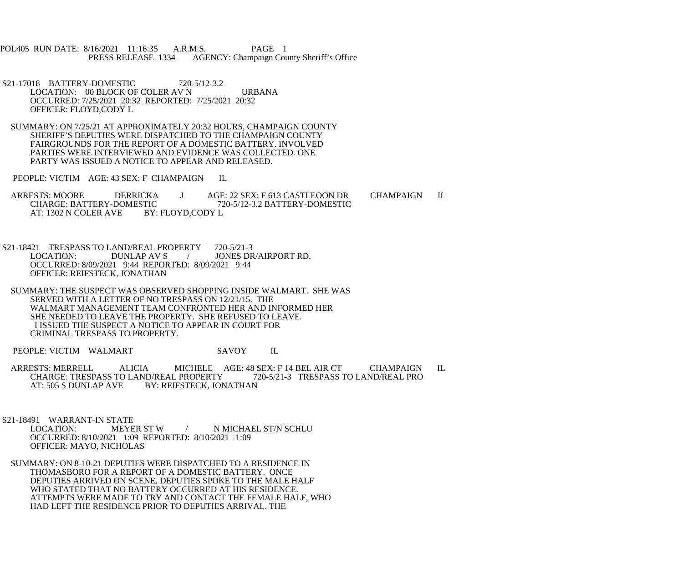POL405 RUN DATE: 8/16/2021 11:16:35 A.R.M.S. PAGE 1<br>PRESS RELEASE 1334 AGENCY: Champaign Cou AGENCY: Champaign County Sheriff's Office

- S21-17018 BATTERY-DOMESTIC 720-5/12-3.2 LOCATION: 00 BLOCK OF COLER AV N URBANA OCCURRED: 7/25/2021 20:32 REPORTED: 7/25/2021 20:32 OFFICER: FLOYD,CODY L
- SUMMARY: ON 7/25/21 AT APPROXIMATELY 20:32 HOURS, CHAMPAIGN COUNTY SHERIFF'S DEPUTIES WERE DISPATCHED TO THE CHAMPAIGN COUNTY FAIRGROUNDS FOR THE REPORT OF A DOMESTIC BATTERY. INVOLVED PARTIES WERE INTERVIEWED AND EVIDENCE WAS COLLECTED. ONE PARTY WAS ISSUED A NOTICE TO APPEAR AND RELEASED.

PEOPLE: VICTIM AGE: 43 SEX: F CHAMPAIGN IL

- ARRESTS: MOORE DERRICKA J AGE: 22 SEX: F 613 CASTLEOON DR CHAMPAIGN IL CHARGE: BATTERY-DOMESTIC 720-5/12-3.2 BATTERY-DOMESTIC FIC 720-5/12-3.2 BATTERY-DOMESTIC<br>BY: FLOYD.CODY L AT: 1302 N COLER AVE
- S21-18421 TRESPASS TO LAND/REAL PROPERTY 720-5/21-3<br>LOCATION: DUNLAP AV S / JONES DR / JONES DR/AIRPORT RD. OCCURRED: 8/09/2021 9:44 REPORTED: 8/09/2021 9:44 OFFICER: REIFSTECK, JONATHAN
- SUMMARY: THE SUSPECT WAS OBSERVED SHOPPING INSIDE WALMART. SHE WAS SERVED WITH A LETTER OF NO TRESPASS ON 12/21/15. THE WALMART MANAGEMENT TEAM CONFRONTED HER AND INFORMED HER SHE NEEDED TO LEAVE THE PROPERTY. SHE REFUSED TO LEAVE. I ISSUED THE SUSPECT A NOTICE TO APPEAR IN COURT FOR CRIMINAL TRESPASS TO PROPERTY.

PEOPLE: VICTIM WALMART SAVOY IL

ARRESTS: MERRELL ALICIA MICHELE AGE: 48 SEX: F 14 BEL AIR CT CHAMPAIGN IL<br>CHARGE: TRESPASS TO LAND/REAL PROPERTY 720-5/21-3 TRESPASS TO LAND/REAL PRO CHARGE: TRESPASS TO LAND/REAL PROPERTY<br>AT: 505 S DUNLAP AVE BY: REIFSTECK. JON BY: REIFSTECK, JONATHAN

S21-18491 WARRANT-IN STATE<br>LOCATION: MEYER ST W / N MICHAEL ST/N SCHLU OCCURRED: 8/10/2021 1:09 REPORTED: 8/10/2021 1:09 OFFICER: MAYO, NICHOLAS

 SUMMARY: ON 8-10-21 DEPUTIES WERE DISPATCHED TO A RESIDENCE IN THOMASBORO FOR A REPORT OF A DOMESTIC BATTERY. ONCE DEPUTIES ARRIVED ON SCENE, DEPUTIES SPOKE TO THE MALE HALF WHO STATED THAT NO BATTERY OCCURRED AT HIS RESIDENCE. ATTEMPTS WERE MADE TO TRY AND CONTACT THE FEMALE HALF, WHO HAD LEFT THE RESIDENCE PRIOR TO DEPUTIES ARRIVAL. THE